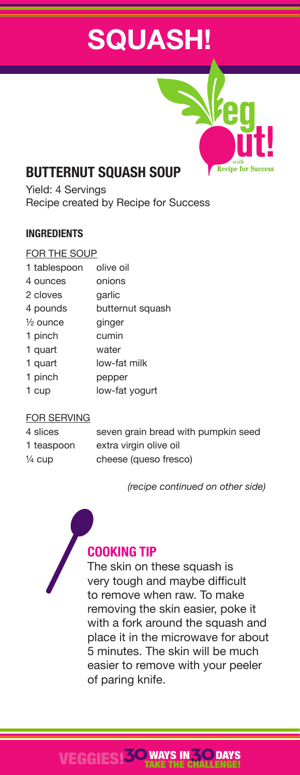# **SQUASH!**



# **BUTTERNUT SQUASH SOUP**

Yield: 4 Servings Recipe created by Recipe for Success

#### **INGREDIENTS**

#### FOR THE SOUP

| 1 tablespoon        | olive oil        |
|---------------------|------------------|
| 4 ounces            | onions           |
| 2 cloves            | garlic           |
| 4 pounds            | butternut squash |
| $\frac{1}{2}$ ounce | ginger           |
| 1 pinch             | cumin            |
| 1 quart             | water            |
| 1 quart             | low-fat milk     |
| 1 pinch             | pepper           |
| 1 cup               | low-fat yogurt   |
|                     |                  |

#### FOR SERVING

| 4 slices   | seven grain bread with pumpkin seed |
|------------|-------------------------------------|
| 1 teaspoon | extra virgin olive oil              |
| ¼ cup      | cheese (queso fresco)               |

 *(recipe continued on other side)*



## **COOKING TIP**

The skin on these squash is very tough and maybe difficult to remove when raw. To make removing the skin easier, poke it with a fork around the squash and place it in the microwave for about 5 minutes. The skin will be much easier to remove with your peeler of paring knife.

#### VEGGIES!**30**WAYS IN**30** TAKE THE CHALLENGE! **DAYS**